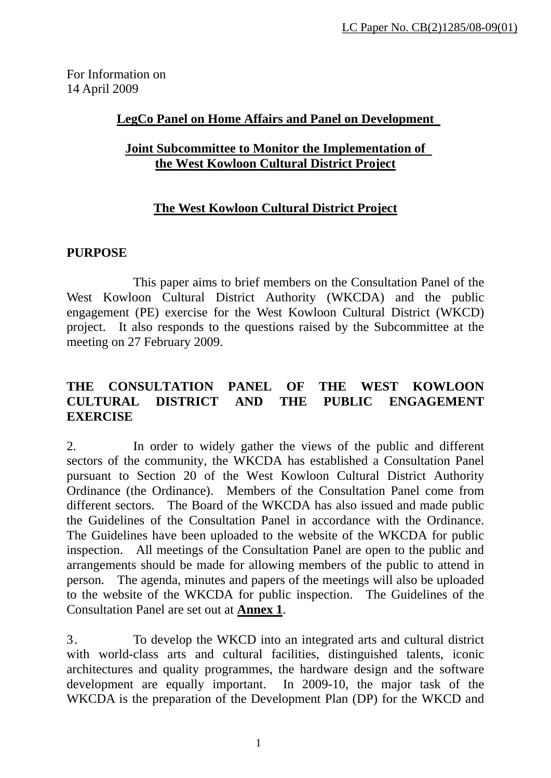For Information on 14 April 2009

### **LegCo Panel on Home Affairs and Panel on Development**

#### **Joint Subcommittee to Monitor the Implementation of the West Kowloon Cultural District Project**

## **The West Kowloon Cultural District Project**

#### **PURPOSE**

 This paper aims to brief members on the Consultation Panel of the West Kowloon Cultural District Authority (WKCDA) and the public engagement (PE) exercise for the West Kowloon Cultural District (WKCD) project. It also responds to the questions raised by the Subcommittee at the meeting on 27 February 2009.

### **THE CONSULTATION PANEL OF THE WEST KOWLOON CULTURAL DISTRICT AND THE PUBLIC ENGAGEMENT EXERCISE**

2. In order to widely gather the views of the public and different sectors of the community, the WKCDA has established a Consultation Panel pursuant to Section 20 of the West Kowloon Cultural District Authority Ordinance (the Ordinance). Members of the Consultation Panel come from different sectors. The Board of the WKCDA has also issued and made public the Guidelines of the Consultation Panel in accordance with the Ordinance. The Guidelines have been uploaded to the website of the WKCDA for public inspection. All meetings of the Consultation Panel are open to the public and arrangements should be made for allowing members of the public to attend in person. The agenda, minutes and papers of the meetings will also be uploaded to the website of the WKCDA for public inspection. The Guidelines of the Consultation Panel are set out at **Annex 1**.

3. To develop the WKCD into an integrated arts and cultural district with world-class arts and cultural facilities, distinguished talents, iconic architectures and quality programmes, the hardware design and the software development are equally important. In 2009-10, the major task of the WKCDA is the preparation of the Development Plan (DP) for the WKCD and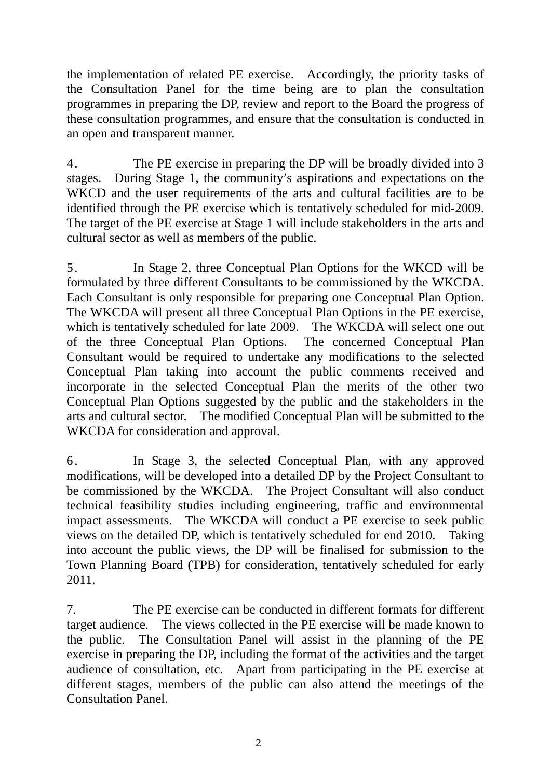the implementation of related PE exercise. Accordingly, the priority tasks of the Consultation Panel for the time being are to plan the consultation programmes in preparing the DP, review and report to the Board the progress of these consultation programmes, and ensure that the consultation is conducted in an open and transparent manner.

4. The PE exercise in preparing the DP will be broadly divided into 3 stages. During Stage 1, the community's aspirations and expectations on the WKCD and the user requirements of the arts and cultural facilities are to be identified through the PE exercise which is tentatively scheduled for mid-2009. The target of the PE exercise at Stage 1 will include stakeholders in the arts and cultural sector as well as members of the public.

5. In Stage 2, three Conceptual Plan Options for the WKCD will be formulated by three different Consultants to be commissioned by the WKCDA. Each Consultant is only responsible for preparing one Conceptual Plan Option. The WKCDA will present all three Conceptual Plan Options in the PE exercise, which is tentatively scheduled for late 2009. The WKCDA will select one out of the three Conceptual Plan Options. The concerned Conceptual Plan Consultant would be required to undertake any modifications to the selected Conceptual Plan taking into account the public comments received and incorporate in the selected Conceptual Plan the merits of the other two Conceptual Plan Options suggested by the public and the stakeholders in the arts and cultural sector. The modified Conceptual Plan will be submitted to the WKCDA for consideration and approval.

6. In Stage 3, the selected Conceptual Plan, with any approved modifications, will be developed into a detailed DP by the Project Consultant to be commissioned by the WKCDA. The Project Consultant will also conduct technical feasibility studies including engineering, traffic and environmental impact assessments. The WKCDA will conduct a PE exercise to seek public views on the detailed DP, which is tentatively scheduled for end 2010. Taking into account the public views, the DP will be finalised for submission to the Town Planning Board (TPB) for consideration, tentatively scheduled for early 2011.

7. The PE exercise can be conducted in different formats for different target audience. The views collected in the PE exercise will be made known to the public. The Consultation Panel will assist in the planning of the PE exercise in preparing the DP, including the format of the activities and the target audience of consultation, etc. Apart from participating in the PE exercise at different stages, members of the public can also attend the meetings of the Consultation Panel.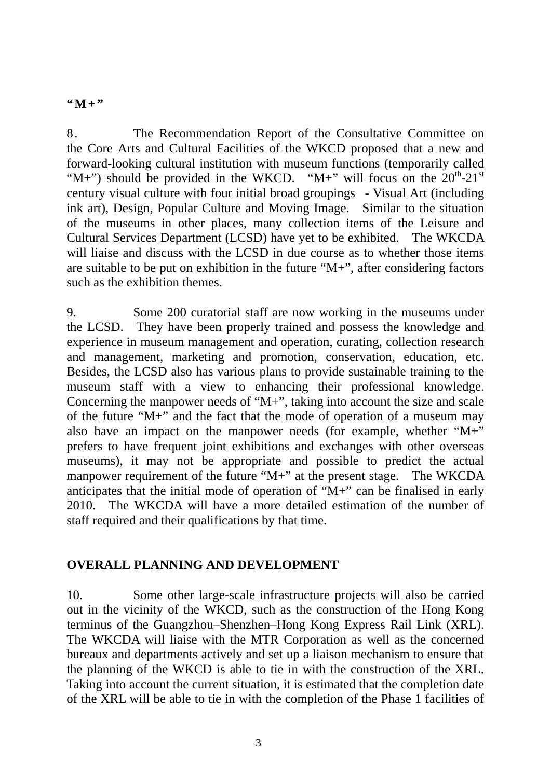### $``M+"$

8. The Recommendation Report of the Consultative Committee on the Core Arts and Cultural Facilities of the WKCD proposed that a new and forward-looking cultural institution with museum functions (temporarily called "M+") should be provided in the WKCD. "M+" will focus on the  $20^{th}$ - $21^{st}$ century visual culture with four initial broad groupings - Visual Art (including ink art), Design, Popular Culture and Moving Image. Similar to the situation of the museums in other places, many collection items of the Leisure and Cultural Services Department (LCSD) have yet to be exhibited. The WKCDA will liaise and discuss with the LCSD in due course as to whether those items are suitable to be put on exhibition in the future "M+", after considering factors such as the exhibition themes.

9. Some 200 curatorial staff are now working in the museums under the LCSD. They have been properly trained and possess the knowledge and experience in museum management and operation, curating, collection research and management, marketing and promotion, conservation, education, etc. Besides, the LCSD also has various plans to provide sustainable training to the museum staff with a view to enhancing their professional knowledge. Concerning the manpower needs of "M+", taking into account the size and scale of the future "M+" and the fact that the mode of operation of a museum may also have an impact on the manpower needs (for example, whether "M+" prefers to have frequent joint exhibitions and exchanges with other overseas museums), it may not be appropriate and possible to predict the actual manpower requirement of the future "M+" at the present stage. The WKCDA anticipates that the initial mode of operation of "M+" can be finalised in early 2010. The WKCDA will have a more detailed estimation of the number of staff required and their qualifications by that time.

## **OVERALL PLANNING AND DEVELOPMENT**

10. Some other large-scale infrastructure projects will also be carried out in the vicinity of the WKCD, such as the construction of the Hong Kong terminus of the Guangzhou–Shenzhen–Hong Kong Express Rail Link (XRL). The WKCDA will liaise with the MTR Corporation as well as the concerned bureaux and departments actively and set up a liaison mechanism to ensure that the planning of the WKCD is able to tie in with the construction of the XRL. Taking into account the current situation, it is estimated that the completion date of the XRL will be able to tie in with the completion of the Phase 1 facilities of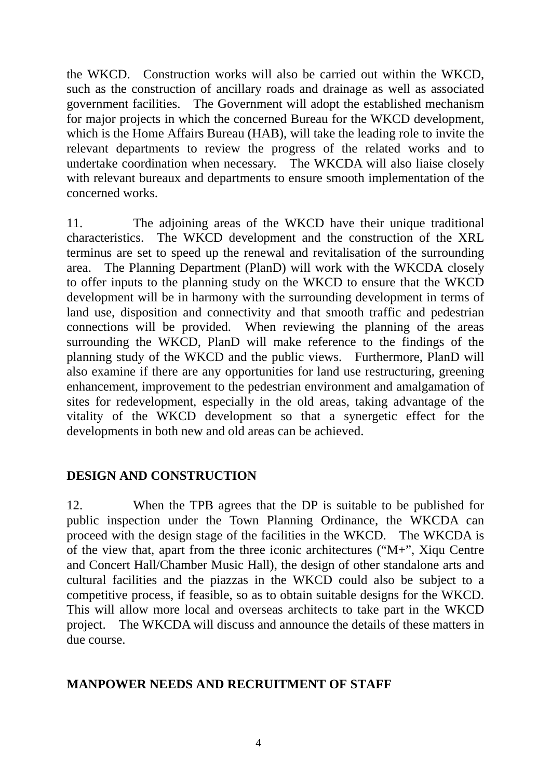the WKCD. Construction works will also be carried out within the WKCD, such as the construction of ancillary roads and drainage as well as associated government facilities. The Government will adopt the established mechanism for major projects in which the concerned Bureau for the WKCD development, which is the Home Affairs Bureau (HAB), will take the leading role to invite the relevant departments to review the progress of the related works and to undertake coordination when necessary. The WKCDA will also liaise closely with relevant bureaux and departments to ensure smooth implementation of the concerned works.

11. The adjoining areas of the WKCD have their unique traditional characteristics. The WKCD development and the construction of the XRL terminus are set to speed up the renewal and revitalisation of the surrounding area. The Planning Department (PlanD) will work with the WKCDA closely to offer inputs to the planning study on the WKCD to ensure that the WKCD development will be in harmony with the surrounding development in terms of land use, disposition and connectivity and that smooth traffic and pedestrian connections will be provided. When reviewing the planning of the areas surrounding the WKCD, PlanD will make reference to the findings of the planning study of the WKCD and the public views. Furthermore, PlanD will also examine if there are any opportunities for land use restructuring, greening enhancement, improvement to the pedestrian environment and amalgamation of sites for redevelopment, especially in the old areas, taking advantage of the vitality of the WKCD development so that a synergetic effect for the developments in both new and old areas can be achieved.

## **DESIGN AND CONSTRUCTION**

12. When the TPB agrees that the DP is suitable to be published for public inspection under the Town Planning Ordinance, the WKCDA can proceed with the design stage of the facilities in the WKCD. The WKCDA is of the view that, apart from the three iconic architectures ("M+", Xiqu Centre and Concert Hall/Chamber Music Hall), the design of other standalone arts and cultural facilities and the piazzas in the WKCD could also be subject to a competitive process, if feasible, so as to obtain suitable designs for the WKCD. This will allow more local and overseas architects to take part in the WKCD project. The WKCDA will discuss and announce the details of these matters in due course.

#### **MANPOWER NEEDS AND RECRUITMENT OF STAFF**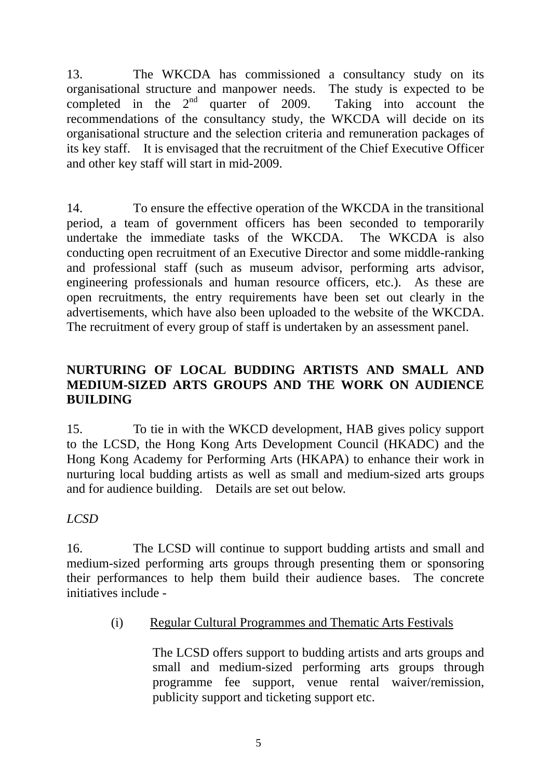13. The WKCDA has commissioned a consultancy study on its organisational structure and manpower needs. The study is expected to be completed in the  $2<sup>nd</sup>$  quarter of 2009. Taking into account the recommendations of the consultancy study, the WKCDA will decide on its organisational structure and the selection criteria and remuneration packages of its key staff. It is envisaged that the recruitment of the Chief Executive Officer and other key staff will start in mid-2009.

14. To ensure the effective operation of the WKCDA in the transitional period, a team of government officers has been seconded to temporarily undertake the immediate tasks of the WKCDA. The WKCDA is also conducting open recruitment of an Executive Director and some middle-ranking and professional staff (such as museum advisor, performing arts advisor, engineering professionals and human resource officers, etc.). As these are open recruitments, the entry requirements have been set out clearly in the advertisements, which have also been uploaded to the website of the WKCDA. The recruitment of every group of staff is undertaken by an assessment panel.

## **NURTURING OF LOCAL BUDDING ARTISTS AND SMALL AND MEDIUM-SIZED ARTS GROUPS AND THE WORK ON AUDIENCE BUILDING**

15. To tie in with the WKCD development, HAB gives policy support to the LCSD, the Hong Kong Arts Development Council (HKADC) and the Hong Kong Academy for Performing Arts (HKAPA) to enhance their work in nurturing local budding artists as well as small and medium-sized arts groups and for audience building. Details are set out below.

## *LCSD*

16. The LCSD will continue to support budding artists and small and medium-sized performing arts groups through presenting them or sponsoring their performances to help them build their audience bases. The concrete initiatives include -

(i) Regular Cultural Programmes and Thematic Arts Festivals

The LCSD offers support to budding artists and arts groups and small and medium-sized performing arts groups through programme fee support, venue rental waiver/remission, publicity support and ticketing support etc.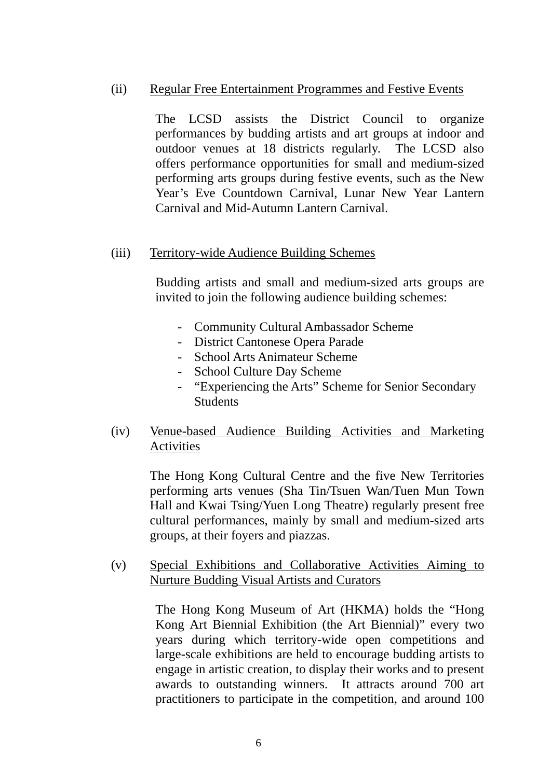#### (ii) Regular Free Entertainment Programmes and Festive Events

The LCSD assists the District Council to organize performances by budding artists and art groups at indoor and outdoor venues at 18 districts regularly. The LCSD also offers performance opportunities for small and medium-sized performing arts groups during festive events, such as the New Year's Eve Countdown Carnival, Lunar New Year Lantern Carnival and Mid-Autumn Lantern Carnival.

#### (iii) Territory-wide Audience Building Schemes

Budding artists and small and medium-sized arts groups are invited to join the following audience building schemes:

- Community Cultural Ambassador Scheme
- District Cantonese Opera Parade
- School Arts Animateur Scheme
- School Culture Day Scheme
- "Experiencing the Arts" Scheme for Senior Secondary **Students**
- (iv) Venue-based Audience Building Activities and Marketing Activities

The Hong Kong Cultural Centre and the five New Territories performing arts venues (Sha Tin/Tsuen Wan/Tuen Mun Town Hall and Kwai Tsing/Yuen Long Theatre) regularly present free cultural performances, mainly by small and medium-sized arts groups, at their foyers and piazzas.

(v) Special Exhibitions and Collaborative Activities Aiming to Nurture Budding Visual Artists and Curators

> The Hong Kong Museum of Art (HKMA) holds the "Hong Kong Art Biennial Exhibition (the Art Biennial)" every two years during which territory-wide open competitions and large-scale exhibitions are held to encourage budding artists to engage in artistic creation, to display their works and to present awards to outstanding winners. It attracts around 700 art practitioners to participate in the competition, and around 100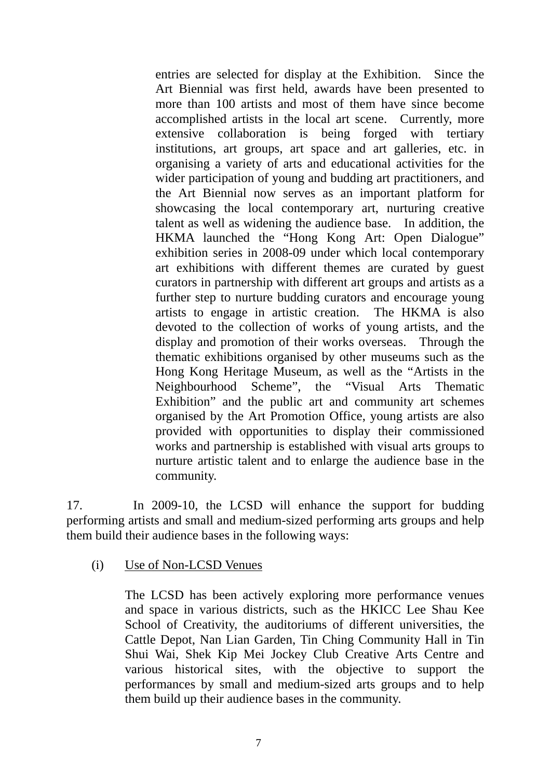entries are selected for display at the Exhibition. Since the Art Biennial was first held, awards have been presented to more than 100 artists and most of them have since become accomplished artists in the local art scene. Currently, more extensive collaboration is being forged with tertiary institutions, art groups, art space and art galleries, etc. in organising a variety of arts and educational activities for the wider participation of young and budding art practitioners, and the Art Biennial now serves as an important platform for showcasing the local contemporary art, nurturing creative talent as well as widening the audience base. In addition, the HKMA launched the "Hong Kong Art: Open Dialogue" exhibition series in 2008-09 under which local contemporary art exhibitions with different themes are curated by guest curators in partnership with different art groups and artists as a further step to nurture budding curators and encourage young artists to engage in artistic creation. The HKMA is also devoted to the collection of works of young artists, and the display and promotion of their works overseas. Through the thematic exhibitions organised by other museums such as the Hong Kong Heritage Museum, as well as the "Artists in the Neighbourhood Scheme", the "Visual Arts Thematic Exhibition" and the public art and community art schemes organised by the Art Promotion Office, young artists are also provided with opportunities to display their commissioned works and partnership is established with visual arts groups to nurture artistic talent and to enlarge the audience base in the community.

17. In 2009-10, the LCSD will enhance the support for budding performing artists and small and medium-sized performing arts groups and help them build their audience bases in the following ways:

#### (i) Use of Non-LCSD Venues

The LCSD has been actively exploring more performance venues and space in various districts, such as the HKICC Lee Shau Kee School of Creativity, the auditoriums of different universities, the Cattle Depot, Nan Lian Garden, Tin Ching Community Hall in Tin Shui Wai, Shek Kip Mei Jockey Club Creative Arts Centre and various historical sites, with the objective to support the performances by small and medium-sized arts groups and to help them build up their audience bases in the community.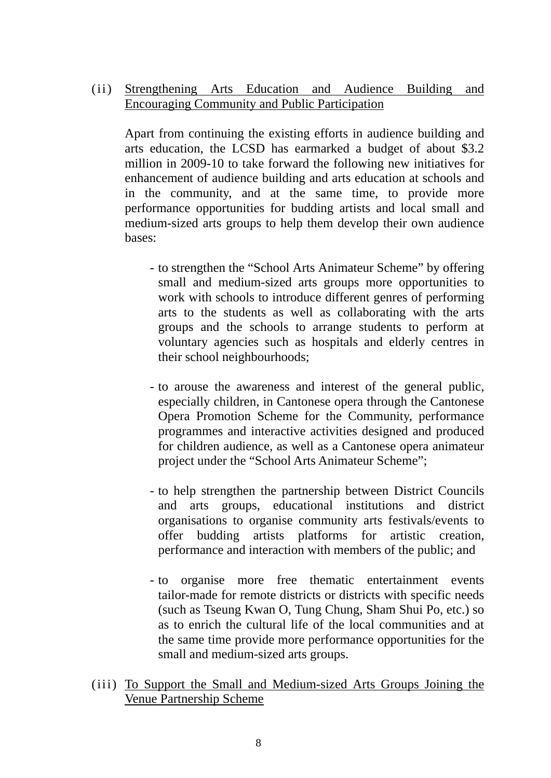### (ii) Strengthening Arts Education and Audience Building and Encouraging Community and Public Participation

Apart from continuing the existing efforts in audience building and arts education, the LCSD has earmarked a budget of about \$3.2 million in 2009-10 to take forward the following new initiatives for enhancement of audience building and arts education at schools and in the community, and at the same time, to provide more performance opportunities for budding artists and local small and medium-sized arts groups to help them develop their own audience bases:

- to strengthen the "School Arts Animateur Scheme" by offering small and medium-sized arts groups more opportunities to work with schools to introduce different genres of performing arts to the students as well as collaborating with the arts groups and the schools to arrange students to perform at voluntary agencies such as hospitals and elderly centres in their school neighbourhoods;
- to arouse the awareness and interest of the general public, especially children, in Cantonese opera through the Cantonese Opera Promotion Scheme for the Community, performance programmes and interactive activities designed and produced for children audience, as well as a Cantonese opera animateur project under the "School Arts Animateur Scheme";
- to help strengthen the partnership between District Councils and arts groups, educational institutions and district organisations to organise community arts festivals/events to offer budding artists platforms for artistic creation, performance and interaction with members of the public; and
- to organise more free thematic entertainment events tailor-made for remote districts or districts with specific needs (such as Tseung Kwan O, Tung Chung, Sham Shui Po, etc.) so as to enrich the cultural life of the local communities and at the same time provide more performance opportunities for the small and medium-sized arts groups.
- (iii) To Support the Small and Medium-sized Arts Groups Joining the Venue Partnership Scheme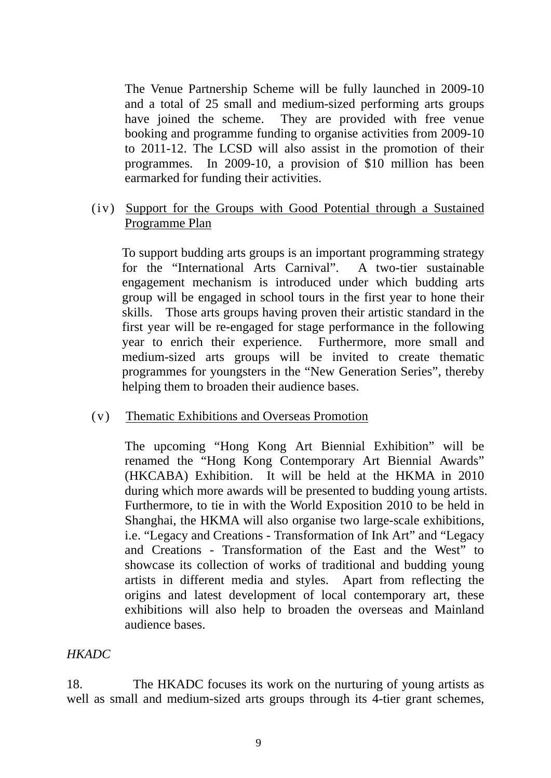The Venue Partnership Scheme will be fully launched in 2009-10 and a total of 25 small and medium-sized performing arts groups have joined the scheme. They are provided with free venue booking and programme funding to organise activities from 2009-10 to 2011-12. The LCSD will also assist in the promotion of their programmes. In 2009-10, a provision of \$10 million has been earmarked for funding their activities.

#### (iv) Support for the Groups with Good Potential through a Sustained Programme Plan

To support budding arts groups is an important programming strategy for the "International Arts Carnival". A two-tier sustainable engagement mechanism is introduced under which budding arts group will be engaged in school tours in the first year to hone their skills. Those arts groups having proven their artistic standard in the first year will be re-engaged for stage performance in the following year to enrich their experience. Furthermore, more small and medium-sized arts groups will be invited to create thematic programmes for youngsters in the "New Generation Series", thereby helping them to broaden their audience bases.

#### (v) Thematic Exhibitions and Overseas Promotion

The upcoming "Hong Kong Art Biennial Exhibition" will be renamed the "Hong Kong Contemporary Art Biennial Awards" (HKCABA) Exhibition. It will be held at the HKMA in 2010 during which more awards will be presented to budding young artists. Furthermore, to tie in with the World Exposition 2010 to be held in Shanghai, the HKMA will also organise two large-scale exhibitions, i.e. "Legacy and Creations - Transformation of Ink Art" and "Legacy and Creations - Transformation of the East and the West" to showcase its collection of works of traditional and budding young artists in different media and styles. Apart from reflecting the origins and latest development of local contemporary art, these exhibitions will also help to broaden the overseas and Mainland audience bases.

#### *HKADC*

18. The HKADC focuses its work on the nurturing of young artists as well as small and medium-sized arts groups through its 4-tier grant schemes,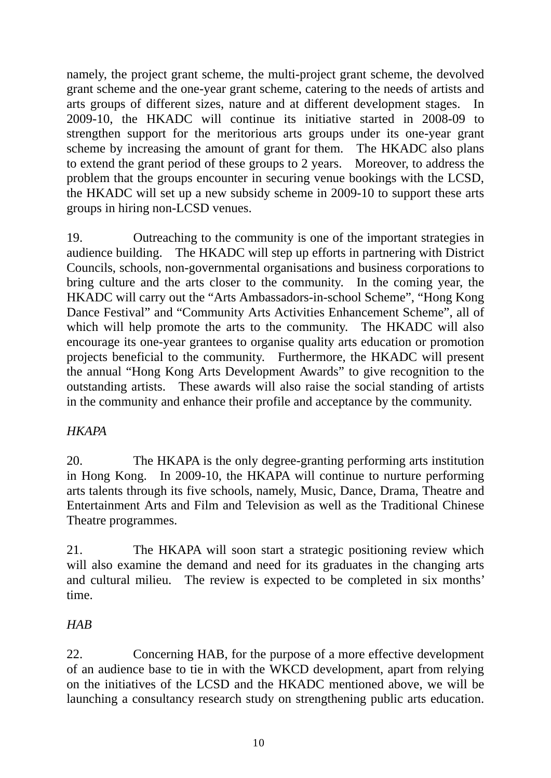namely, the project grant scheme, the multi-project grant scheme, the devolved grant scheme and the one-year grant scheme, catering to the needs of artists and arts groups of different sizes, nature and at different development stages. In 2009-10, the HKADC will continue its initiative started in 2008-09 to strengthen support for the meritorious arts groups under its one-year grant scheme by increasing the amount of grant for them. The HKADC also plans to extend the grant period of these groups to 2 years. Moreover, to address the problem that the groups encounter in securing venue bookings with the LCSD, the HKADC will set up a new subsidy scheme in 2009-10 to support these arts groups in hiring non-LCSD venues.

19. Outreaching to the community is one of the important strategies in audience building. The HKADC will step up efforts in partnering with District Councils, schools, non-governmental organisations and business corporations to bring culture and the arts closer to the community. In the coming year, the HKADC will carry out the "Arts Ambassadors-in-school Scheme", "Hong Kong Dance Festival" and "Community Arts Activities Enhancement Scheme", all of which will help promote the arts to the community. The HKADC will also encourage its one-year grantees to organise quality arts education or promotion projects beneficial to the community. Furthermore, the HKADC will present the annual "Hong Kong Arts Development Awards" to give recognition to the outstanding artists. These awards will also raise the social standing of artists in the community and enhance their profile and acceptance by the community.

#### *HKAPA*

20. The HKAPA is the only degree-granting performing arts institution in Hong Kong. In 2009-10, the HKAPA will continue to nurture performing arts talents through its five schools, namely, Music, Dance, Drama, Theatre and Entertainment Arts and Film and Television as well as the Traditional Chinese Theatre programmes.

21. The HKAPA will soon start a strategic positioning review which will also examine the demand and need for its graduates in the changing arts and cultural milieu. The review is expected to be completed in six months' time.

## *HAB*

22. Concerning HAB, for the purpose of a more effective development of an audience base to tie in with the WKCD development, apart from relying on the initiatives of the LCSD and the HKADC mentioned above, we will be launching a consultancy research study on strengthening public arts education.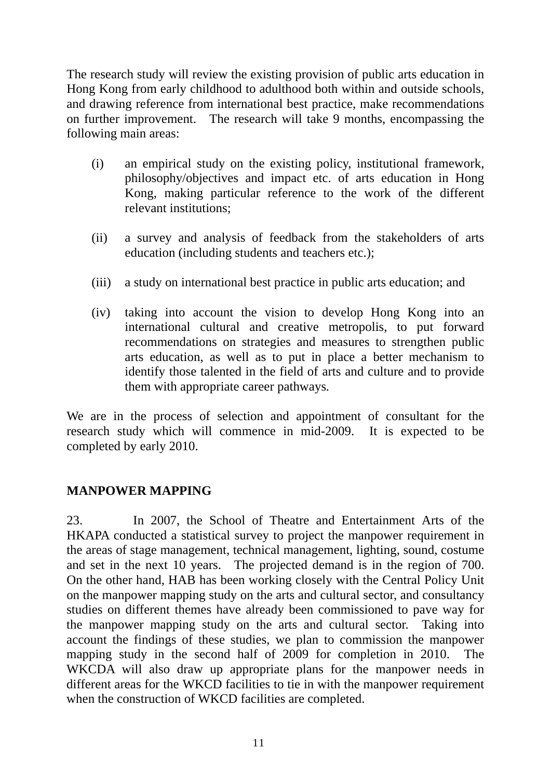The research study will review the existing provision of public arts education in Hong Kong from early childhood to adulthood both within and outside schools, and drawing reference from international best practice, make recommendations on further improvement. The research will take 9 months, encompassing the following main areas:

- (i) an empirical study on the existing policy, institutional framework, philosophy/objectives and impact etc. of arts education in Hong Kong, making particular reference to the work of the different relevant institutions;
- (ii) a survey and analysis of feedback from the stakeholders of arts education (including students and teachers etc.);
- (iii) a study on international best practice in public arts education; and
- (iv) taking into account the vision to develop Hong Kong into an international cultural and creative metropolis, to put forward recommendations on strategies and measures to strengthen public arts education, as well as to put in place a better mechanism to identify those talented in the field of arts and culture and to provide them with appropriate career pathways*.*

We are in the process of selection and appointment of consultant for the research study which will commence in mid-2009. It is expected to be completed by early 2010.

## **MANPOWER MAPPING**

23. In 2007, the School of Theatre and Entertainment Arts of the HKAPA conducted a statistical survey to project the manpower requirement in the areas of stage management, technical management, lighting, sound, costume and set in the next 10 years. The projected demand is in the region of 700. On the other hand, HAB has been working closely with the Central Policy Unit on the manpower mapping study on the arts and cultural sector, and consultancy studies on different themes have already been commissioned to pave way for the manpower mapping study on the arts and cultural sector. Taking into account the findings of these studies, we plan to commission the manpower mapping study in the second half of 2009 for completion in 2010. The WKCDA will also draw up appropriate plans for the manpower needs in different areas for the WKCD facilities to tie in with the manpower requirement when the construction of WKCD facilities are completed.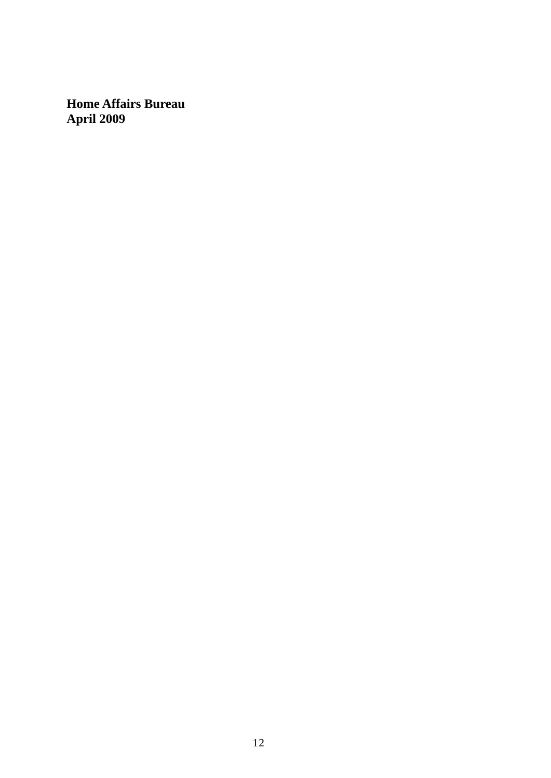**Home Affairs Bureau April 2009**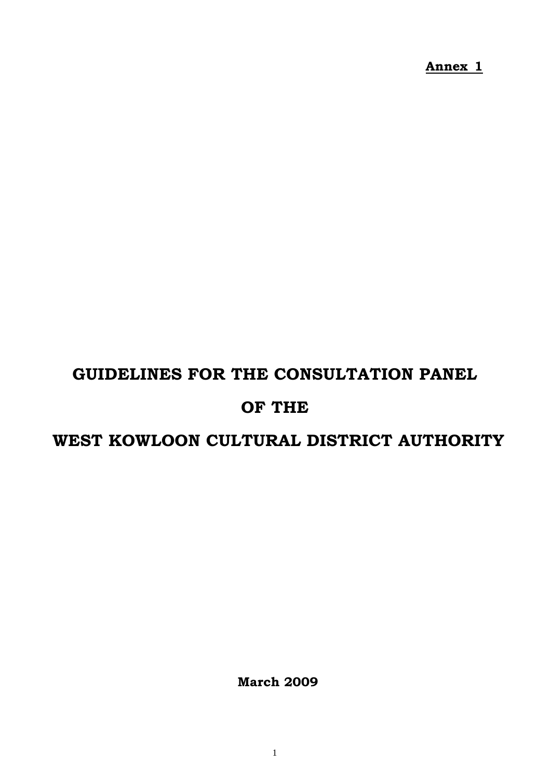**Annex 1**

# **GUIDELINES FOR THE CONSULTATION PANEL**

## **OF THE**

# **WEST KOWLOON CULTURAL DISTRICT AUTHORITY**

 **March 2009**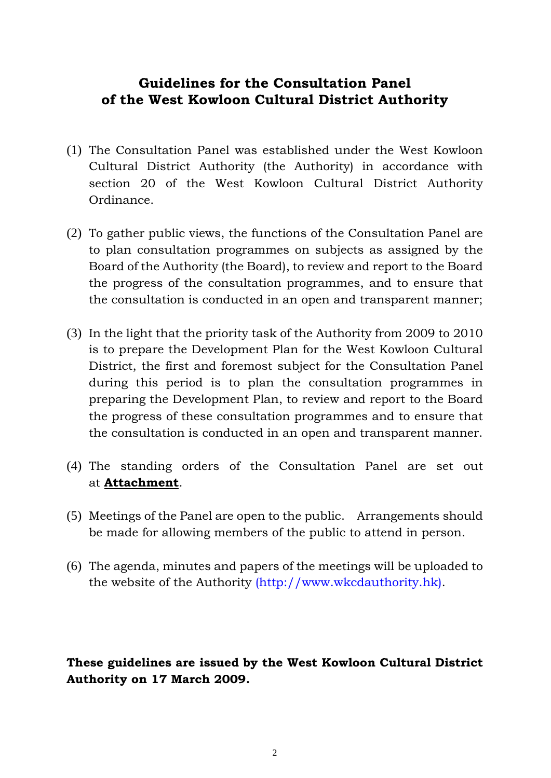## **Guidelines for the Consultation Panel of the West Kowloon Cultural District Authority**

- (1) The Consultation Panel was established under the West Kowloon Cultural District Authority (the Authority) in accordance with section 20 of the West Kowloon Cultural District Authority Ordinance.
- (2) To gather public views, the functions of the Consultation Panel are to plan consultation programmes on subjects as assigned by the Board of the Authority (the Board), to review and report to the Board the progress of the consultation programmes, and to ensure that the consultation is conducted in an open and transparent manner;
- (3) In the light that the priority task of the Authority from 2009 to 2010 is to prepare the Development Plan for the West Kowloon Cultural District, the first and foremost subject for the Consultation Panel during this period is to plan the consultation programmes in preparing the Development Plan, to review and report to the Board the progress of these consultation programmes and to ensure that the consultation is conducted in an open and transparent manner.
- (4) The standing orders of the Consultation Panel are set out at **Attachment**.
- (5) Meetings of the Panel are open to the public. Arrangements should be made for allowing members of the public to attend in person.
- (6) The agenda, minutes and papers of the meetings will be uploaded to the website of the Authority (http://www.wkcdauthority.hk).

**These guidelines are issued by the West Kowloon Cultural District Authority on 17 March 2009.**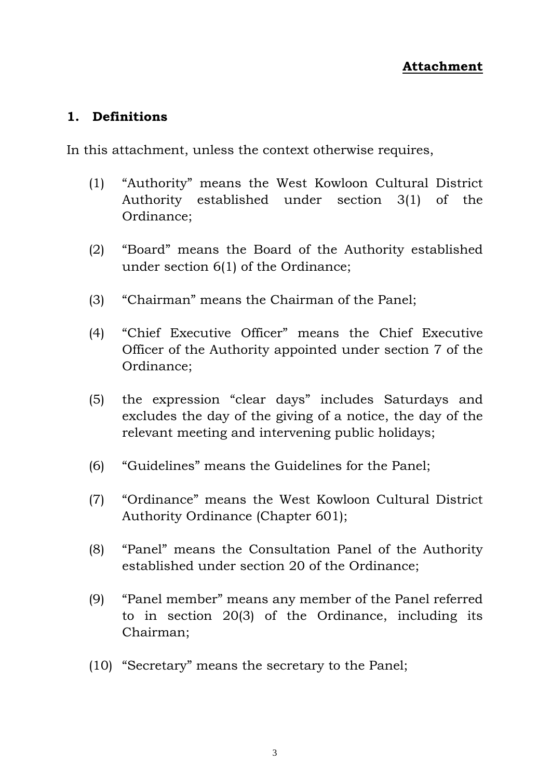## **1. Definitions**

In this attachment, unless the context otherwise requires,

- (1) "Authority" means the West Kowloon Cultural District Authority established under section 3(1) of the Ordinance;
- (2) "Board" means the Board of the Authority established under section 6(1) of the Ordinance;
- (3) "Chairman" means the Chairman of the Panel;
- (4) "Chief Executive Officer" means the Chief Executive Officer of the Authority appointed under section 7 of the Ordinance;
- (5) the expression "clear days" includes Saturdays and excludes the day of the giving of a notice, the day of the relevant meeting and intervening public holidays;
- (6) "Guidelines" means the Guidelines for the Panel;
- (7) "Ordinance" means the West Kowloon Cultural District Authority Ordinance (Chapter 601);
- (8) "Panel" means the Consultation Panel of the Authority established under section 20 of the Ordinance;
- (9) "Panel member" means any member of the Panel referred to in section 20(3) of the Ordinance, including its Chairman;
- (10) "Secretary" means the secretary to the Panel;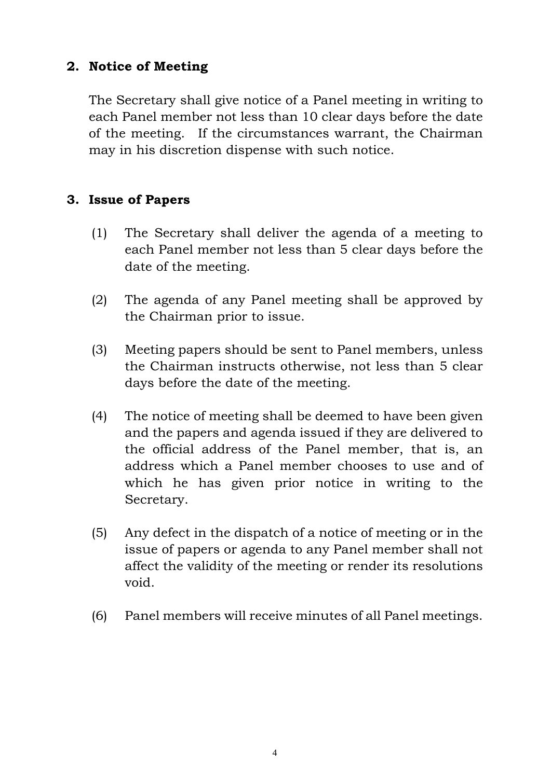## **2. Notice of Meeting**

The Secretary shall give notice of a Panel meeting in writing to each Panel member not less than 10 clear days before the date of the meeting. If the circumstances warrant, the Chairman may in his discretion dispense with such notice.

## **3. Issue of Papers**

- (1) The Secretary shall deliver the agenda of a meeting to each Panel member not less than 5 clear days before the date of the meeting.
- (2) The agenda of any Panel meeting shall be approved by the Chairman prior to issue.
- (3) Meeting papers should be sent to Panel members, unless the Chairman instructs otherwise, not less than 5 clear days before the date of the meeting.
- (4) The notice of meeting shall be deemed to have been given and the papers and agenda issued if they are delivered to the official address of the Panel member, that is, an address which a Panel member chooses to use and of which he has given prior notice in writing to the Secretary.
- (5) Any defect in the dispatch of a notice of meeting or in the issue of papers or agenda to any Panel member shall not affect the validity of the meeting or render its resolutions void.
- (6) Panel members will receive minutes of all Panel meetings.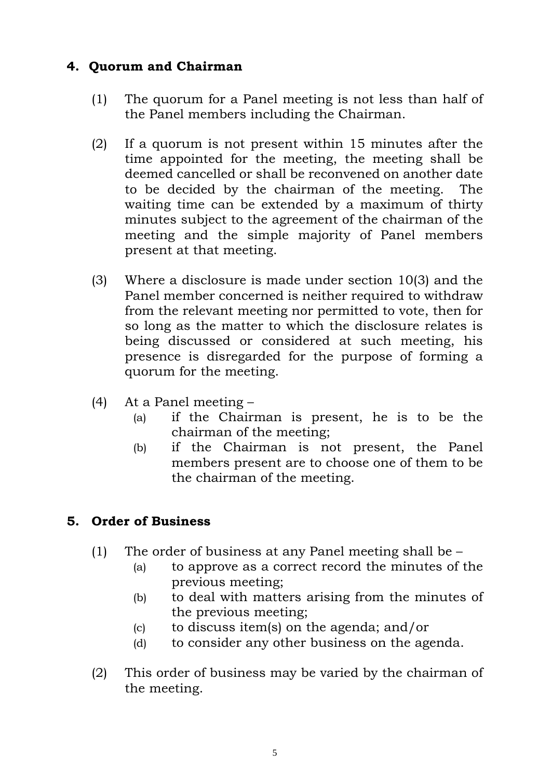## **4. Quorum and Chairman**

- (1) The quorum for a Panel meeting is not less than half of the Panel members including the Chairman.
- (2) If a quorum is not present within 15 minutes after the time appointed for the meeting, the meeting shall be deemed cancelled or shall be reconvened on another date to be decided by the chairman of the meeting. The waiting time can be extended by a maximum of thirty minutes subject to the agreement of the chairman of the meeting and the simple majority of Panel members present at that meeting.
- (3) Where a disclosure is made under section 10(3) and the Panel member concerned is neither required to withdraw from the relevant meeting nor permitted to vote, then for so long as the matter to which the disclosure relates is being discussed or considered at such meeting, his presence is disregarded for the purpose of forming a quorum for the meeting.
- (4) At a Panel meeting
	- (a) if the Chairman is present, he is to be the chairman of the meeting;
	- (b) if the Chairman is not present, the Panel members present are to choose one of them to be the chairman of the meeting.

## **5. Order of Business**

- (1) The order of business at any Panel meeting shall be
	- (a) to approve as a correct record the minutes of the previous meeting;
	- (b) to deal with matters arising from the minutes of the previous meeting;
	- (c) to discuss item(s) on the agenda; and/or
	- (d) to consider any other business on the agenda.
- (2) This order of business may be varied by the chairman of the meeting.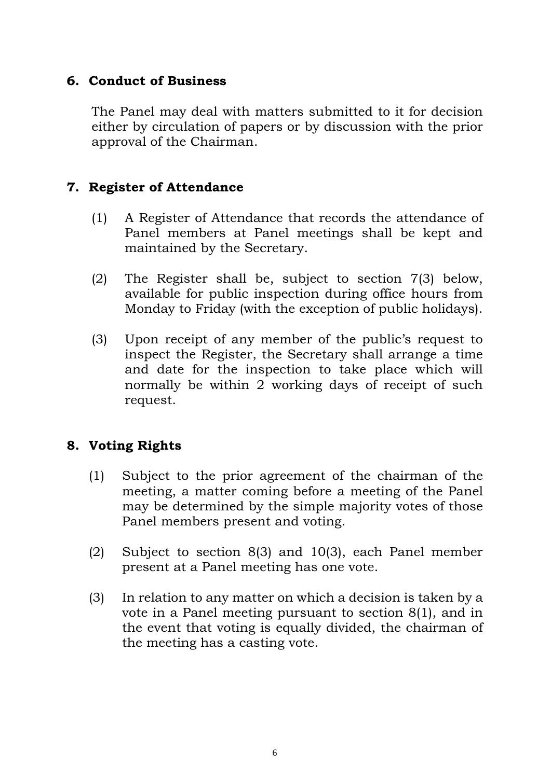## **6. Conduct of Business**

The Panel may deal with matters submitted to it for decision either by circulation of papers or by discussion with the prior approval of the Chairman.

## **7. Register of Attendance**

- (1) A Register of Attendance that records the attendance of Panel members at Panel meetings shall be kept and maintained by the Secretary.
- (2) The Register shall be, subject to section 7(3) below, available for public inspection during office hours from Monday to Friday (with the exception of public holidays).
- (3) Upon receipt of any member of the public's request to inspect the Register, the Secretary shall arrange a time and date for the inspection to take place which will normally be within 2 working days of receipt of such request.

## **8. Voting Rights**

- (1) Subject to the prior agreement of the chairman of the meeting, a matter coming before a meeting of the Panel may be determined by the simple majority votes of those Panel members present and voting.
- (2) Subject to section 8(3) and 10(3), each Panel member present at a Panel meeting has one vote.
- (3) In relation to any matter on which a decision is taken by a vote in a Panel meeting pursuant to section 8(1), and in the event that voting is equally divided, the chairman of the meeting has a casting vote.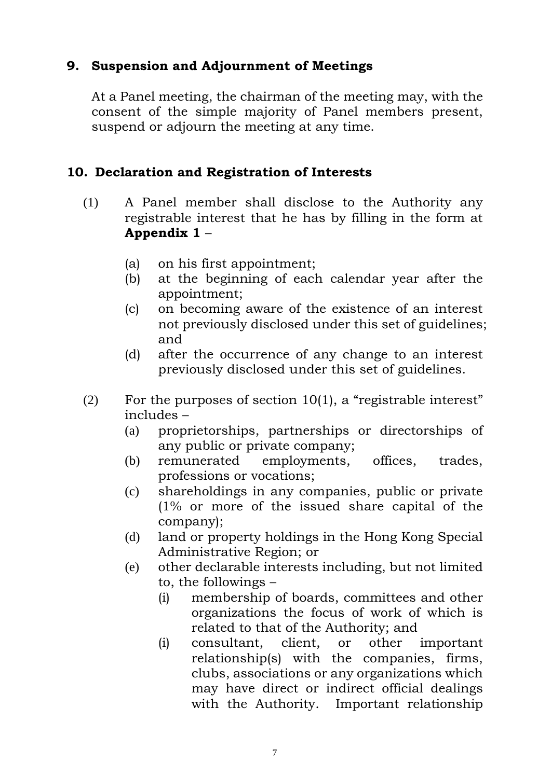## **9. Suspension and Adjournment of Meetings**

At a Panel meeting, the chairman of the meeting may, with the consent of the simple majority of Panel members present, suspend or adjourn the meeting at any time.

## **10.Declaration and Registration of Interests**

- (1) A Panel member shall disclose to the Authority any registrable interest that he has by filling in the form at **Appendix 1** –
	- (a) on his first appointment;
	- (b) at the beginning of each calendar year after the appointment;
	- (c) on becoming aware of the existence of an interest not previously disclosed under this set of guidelines; and
	- (d) after the occurrence of any change to an interest previously disclosed under this set of guidelines.
- (2) For the purposes of section 10(1), a "registrable interest" includes –
	- (a) proprietorships, partnerships or directorships of any public or private company;
	- (b) remunerated employments, offices, trades, professions or vocations;
	- (c) shareholdings in any companies, public or private (1% or more of the issued share capital of the company);
	- (d) land or property holdings in the Hong Kong Special Administrative Region; or
	- (e) other declarable interests including, but not limited to, the followings –
		- (i) membership of boards, committees and other organizations the focus of work of which is related to that of the Authority; and
		- (i) consultant, client, or other important relationship(s) with the companies, firms, clubs, associations or any organizations which may have direct or indirect official dealings with the Authority. Important relationship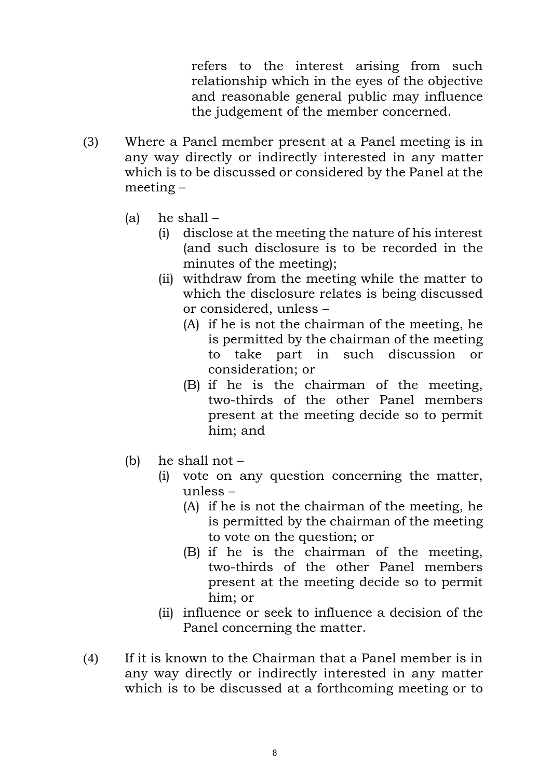refers to the interest arising from such relationship which in the eyes of the objective and reasonable general public may influence the judgement of the member concerned.

- (3) Where a Panel member present at a Panel meeting is in any way directly or indirectly interested in any matter which is to be discussed or considered by the Panel at the meeting –
	- (a) he shall
		- (i) disclose at the meeting the nature of his interest (and such disclosure is to be recorded in the minutes of the meeting);
		- (ii) withdraw from the meeting while the matter to which the disclosure relates is being discussed or considered, unless –
			- (A) if he is not the chairman of the meeting, he is permitted by the chairman of the meeting to take part in such discussion or consideration; or
			- (B) if he is the chairman of the meeting, two-thirds of the other Panel members present at the meeting decide so to permit him; and
	- (b) he shall not
		- (i) vote on any question concerning the matter, unless –
			- (A) if he is not the chairman of the meeting, he is permitted by the chairman of the meeting to vote on the question; or
			- (B) if he is the chairman of the meeting, two-thirds of the other Panel members present at the meeting decide so to permit him; or
		- (ii) influence or seek to influence a decision of the Panel concerning the matter.
- (4) If it is known to the Chairman that a Panel member is in any way directly or indirectly interested in any matter which is to be discussed at a forthcoming meeting or to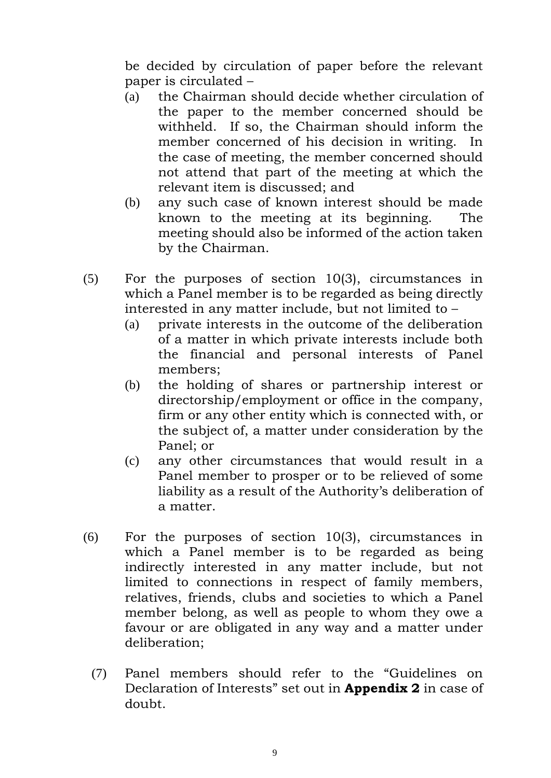be decided by circulation of paper before the relevant paper is circulated –

- (a) the Chairman should decide whether circulation of the paper to the member concerned should be withheld. If so, the Chairman should inform the member concerned of his decision in writing. In the case of meeting, the member concerned should not attend that part of the meeting at which the relevant item is discussed; and
- (b) any such case of known interest should be made known to the meeting at its beginning. The meeting should also be informed of the action taken by the Chairman.
- (5) For the purposes of section 10(3), circumstances in which a Panel member is to be regarded as being directly interested in any matter include, but not limited to –
	- (a) private interests in the outcome of the deliberation of a matter in which private interests include both the financial and personal interests of Panel members;
	- (b) the holding of shares or partnership interest or directorship/employment or office in the company, firm or any other entity which is connected with, or the subject of, a matter under consideration by the Panel; or
	- (c) any other circumstances that would result in a Panel member to prosper or to be relieved of some liability as a result of the Authority's deliberation of a matter.
- (6) For the purposes of section 10(3), circumstances in which a Panel member is to be regarded as being indirectly interested in any matter include, but not limited to connections in respect of family members, relatives, friends, clubs and societies to which a Panel member belong, as well as people to whom they owe a favour or are obligated in any way and a matter under deliberation;
	- (7) Panel members should refer to the "Guidelines on Declaration of Interests" set out in **Appendix 2** in case of doubt.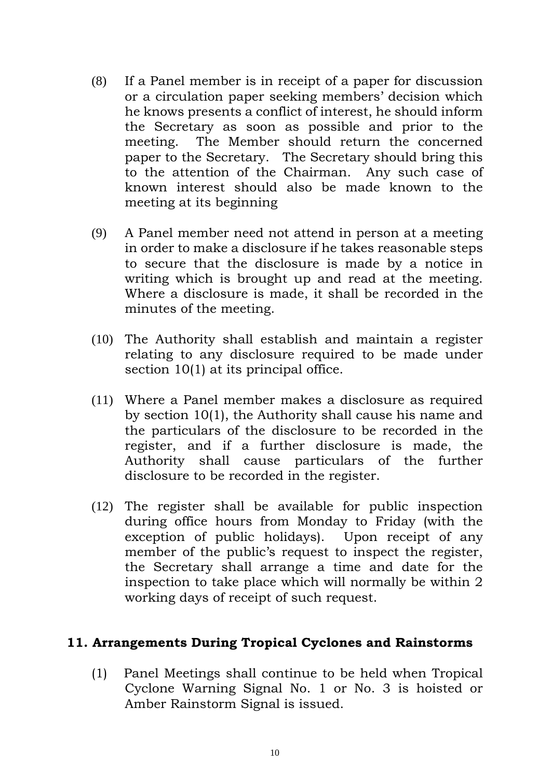- (8) If a Panel member is in receipt of a paper for discussion or a circulation paper seeking members' decision which he knows presents a conflict of interest, he should inform the Secretary as soon as possible and prior to the meeting. The Member should return the concerned paper to the Secretary. The Secretary should bring this to the attention of the Chairman. Any such case of known interest should also be made known to the meeting at its beginning
- (9) A Panel member need not attend in person at a meeting in order to make a disclosure if he takes reasonable steps to secure that the disclosure is made by a notice in writing which is brought up and read at the meeting. Where a disclosure is made, it shall be recorded in the minutes of the meeting.
- (10) The Authority shall establish and maintain a register relating to any disclosure required to be made under section 10(1) at its principal office.
- (11) Where a Panel member makes a disclosure as required by section 10(1), the Authority shall cause his name and the particulars of the disclosure to be recorded in the register, and if a further disclosure is made, the Authority shall cause particulars of the further disclosure to be recorded in the register.
- (12) The register shall be available for public inspection during office hours from Monday to Friday (with the exception of public holidays). Upon receipt of any member of the public's request to inspect the register, the Secretary shall arrange a time and date for the inspection to take place which will normally be within 2 working days of receipt of such request.

#### **11. Arrangements During Tropical Cyclones and Rainstorms**

(1) Panel Meetings shall continue to be held when Tropical Cyclone Warning Signal No. 1 or No. 3 is hoisted or Amber Rainstorm Signal is issued.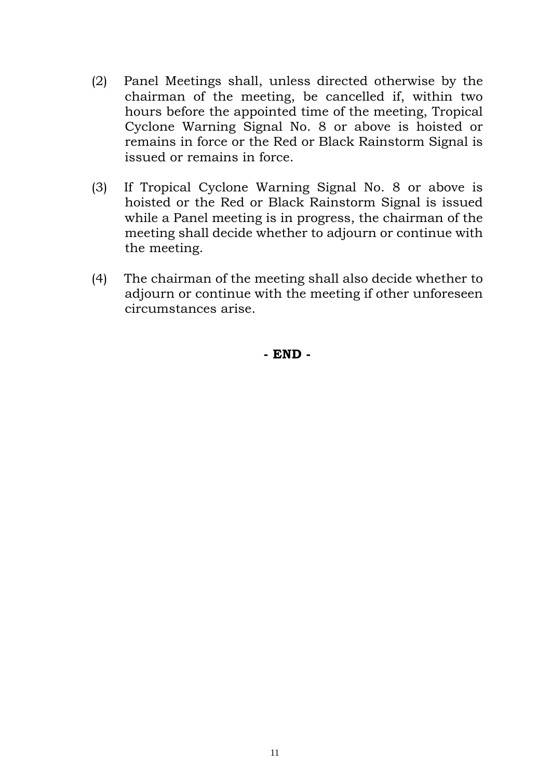- (2) Panel Meetings shall, unless directed otherwise by the chairman of the meeting, be cancelled if, within two hours before the appointed time of the meeting, Tropical Cyclone Warning Signal No. 8 or above is hoisted or remains in force or the Red or Black Rainstorm Signal is issued or remains in force.
- (3) If Tropical Cyclone Warning Signal No. 8 or above is hoisted or the Red or Black Rainstorm Signal is issued while a Panel meeting is in progress, the chairman of the meeting shall decide whether to adjourn or continue with the meeting.
- (4) The chairman of the meeting shall also decide whether to adjourn or continue with the meeting if other unforeseen circumstances arise.

**- END -**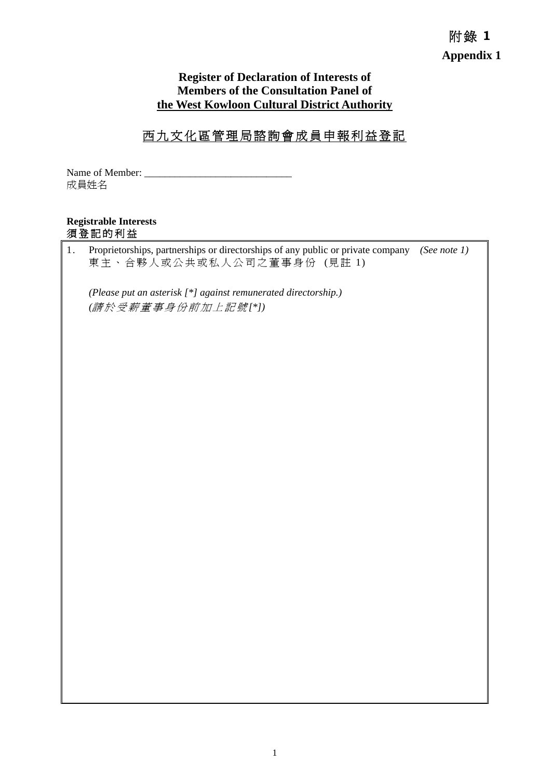# 附錄 **1 Appendix 1**

#### **Register of Declaration of Interests of Members of the Consultation Panel of the West Kowloon Cultural District Authority**

## 西九文化區管理局諮詢會成員申報利益登記

Name of Member: 成員姓名

#### **Registrable Interests**  須登記的利益

1. Proprietorships, partnerships or directorships of any public or private company *(See note 1)* 東主、合夥人或公共或私人公司之董事身份 (見註 1)

*(Please put an asterisk [\*] against remunerated directorship.) (*請於受薪董事身份前加上記號 *[\*])*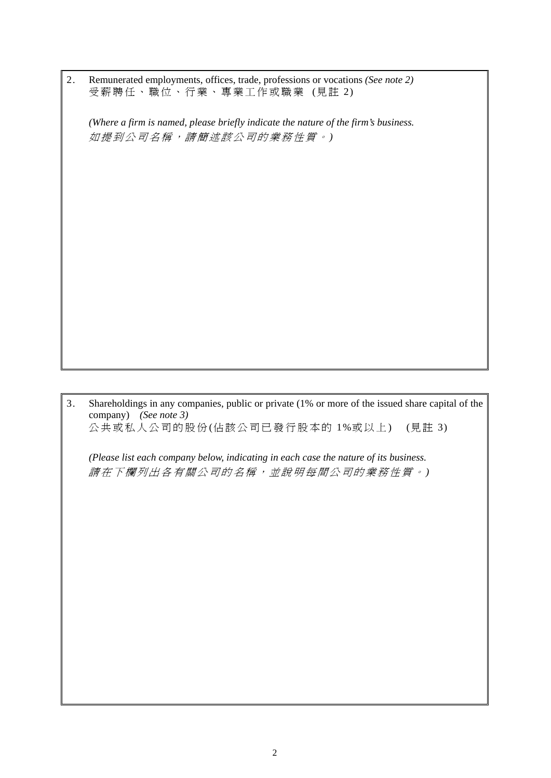| 2. Remunerated employments, offices, trade, professions or vocations (See note 2) |  |
|-----------------------------------------------------------------------------------|--|
| 受薪聘任、職位、行業、專業工作或職業 (見註 2)                                                         |  |

*(Where a firm is named, please briefly indicate the nature of the firm's business.*  如提到公司名稱,請簡述該公司的業務性質。 *)*

3. Shareholdings in any companies, public or private (1% or more of the issued share capital of the company) *(See note 3)* 公共或私人公司的股份(佔該公司已發行股本的 1%或以上) (見註 3)

*(Please list each company below, indicating in each case the nature of its business.*  請在下欄列出各有關公司的名稱,並說明每間公司的業務性質。 *)*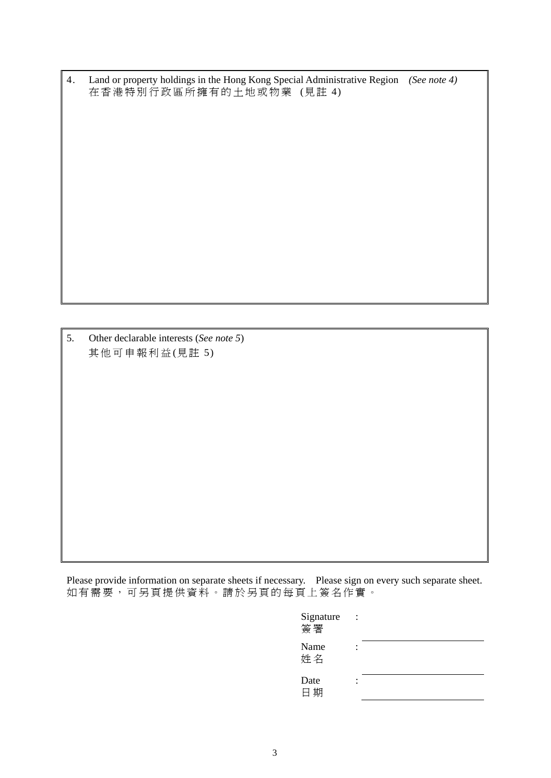4. Land or property holdings in the Hong Kong Special Administrative Region *(See note 4)* 在香港特別行政區所擁有的土地或物業 (見註 4)

5. Other declarable interests (*See note 5*) 其他可申報利益(見註 5)

Please provide information on separate sheets if necessary. Please sign on every such separate sheet. 如有需要,可另頁提供資料。請於另頁的每頁上簽名作實。

| Signature<br>簽署 |  |  |  |
|-----------------|--|--|--|
| Name<br>姓名      |  |  |  |
| Date<br>日期      |  |  |  |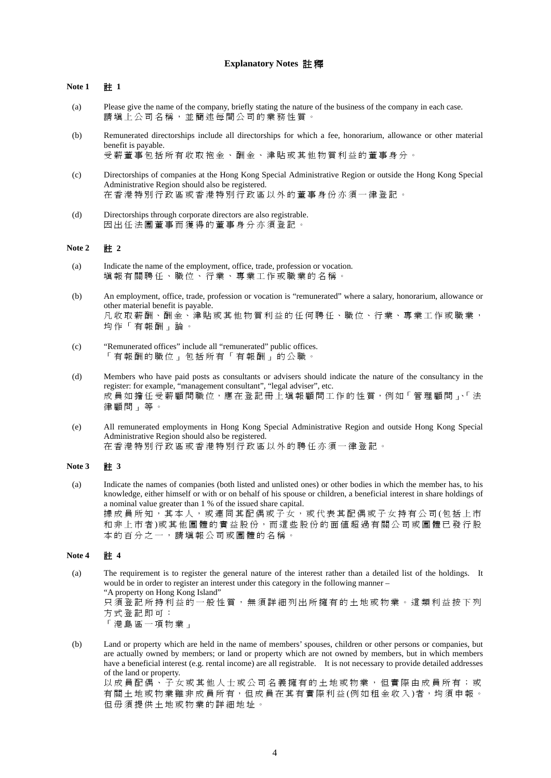#### **Explanatory Notes** 註 釋

#### **Note 1** 註 **1**

- (a) Please give the name of the company, briefly stating the nature of the business of the company in each case. 請填上公司名稱,並簡述每間公司的業務性質。
- (b) Remunerated directorships include all directorships for which a fee, honorarium, allowance or other material benefit is payable. 受薪董事包括所有收取袍金、酬金、津貼或其他物質利益的董事身分。
- (c) Directorships of companies at the Hong Kong Special Administrative Region or outside the Hong Kong Special Administrative Region should also be registered. 在香港特別行政區或香港特別行政區以外的董事身份亦須一律登記。
- (d) Directorships through corporate directors are also registrable. 因出任法團董事而獲得的董事身分亦須登記。

#### **Note 2** 註 **2**

- (a) Indicate the name of the employment, office, trade, profession or vocation. 填報有關聘任、職位、行業、專業工作或職業的名稱。
- (b) An employment, office, trade, profession or vocation is "remunerated" where a salary, honorarium, allowance or other material benefit is payable. 凡收取薪酬、酬金、津貼或其他物質利益的任何聘任、職位、行業、專業工作或職業, 均作「有報酬」論。
- (c) "Remunerated offices" include all "remunerated" public offices. 「有報酬的職位」包括所有「有報酬」的公職。
- (d) Members who have paid posts as consultants or advisers should indicate the nature of the consultancy in the register: for example, "management consultant", "legal adviser", etc. 成員如擔任受薪顧問職位,應在登記冊上填報顧問工作的性質,例如「管理顧問」、法 律顧問」等。
- (e) All remunerated employments in Hong Kong Special Administrative Region and outside Hong Kong Special Administrative Region should also be registered. 在香港特別行政區或香港特別行政區以外的聘任亦須一律登記。

#### **Note 3** 註 **3**

(a) Indicate the names of companies (both listed and unlisted ones) or other bodies in which the member has, to his knowledge, either himself or with or on behalf of his spouse or children, a beneficial interest in share holdings of a nominal value greater than 1 % of the issued share capital. 據成員所知,其本人,或連同其配偶或子女,或代表其配偶或子女持有公司(包括上市 和非上市者)或其他團體的實益股份,而這些股份的面值超過有關公司或團體已發行股 本的百分之一,請填報公司或團體的名稱。

#### **Note 4 # 4**

- (a) The requirement is to register the general nature of the interest rather than a detailed list of the holdings. It would be in order to register an interest under this category in the following manner – "A property on Hong Kong Island" 只須登記所持利益的一般性質,無須詳細列出所擁有的土地或物業。這類利益按下列 方式登記即可: 「港島區一項物業」
- (b) Land or property which are held in the name of members' spouses, children or other persons or companies, but are actually owned by members; or land or property which are not owned by members, but in which members have a beneficial interest (e.g. rental income) are all registrable. It is not necessary to provide detailed addresses of the land or property.

以成員配偶、子女或其他人士或公司名義擁有的土地或物業,但實際由成員所有;或 有關土地或物業雖非成員所有,但成員在其有實際利益 (例如租金收入 )者,均須申報。 但毋須提供土地或物業的詳細地址。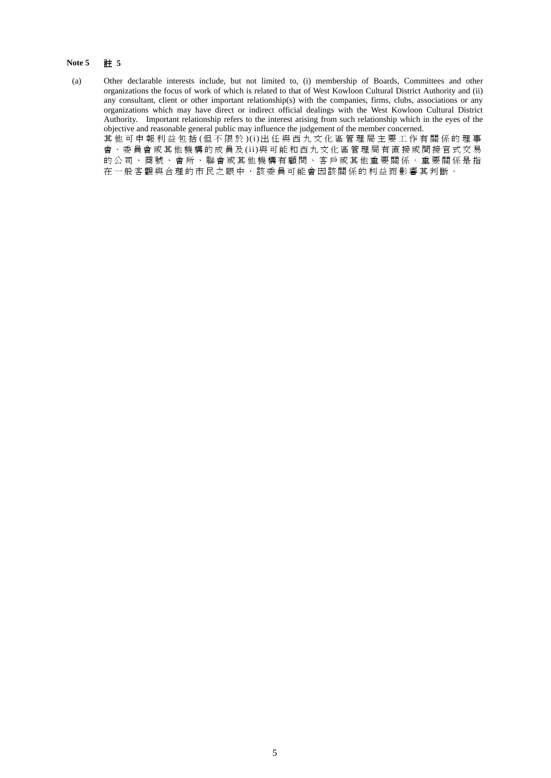#### **Note 5** 註 **5**

- (a) Other declarable interests include, but not limited to, (i) membership of Boards, Committees and other organizations the focus of work of which is related to that of West Kowloon Cultural District Authority and (ii) any consultant, client or other important relationship(s) with the companies, firms, clubs, associations or any organizations which may have direct or indirect official dealings with the West Kowloon Cultural District Authority. Important relationship refers to the interest arising from such relationship which in the eyes of the objective and reasonable general public may influence the judgement of the member concerned. 其他可申報利益包括 (但不限於 )(i)出任與西九文化區管理局主要工作有關係的理事 會、委員會或其他機構的成員及 (ii)與可能和西九文化區管理局有直接或間接官式交易 的公司、商號、會所、聯會或其他機構有顧問、客戶或其他重要關係。重要關係是指
	- 在一般客觀與合理的市民之眼中,該委員可能會因該關係的利益而影響其判斷。